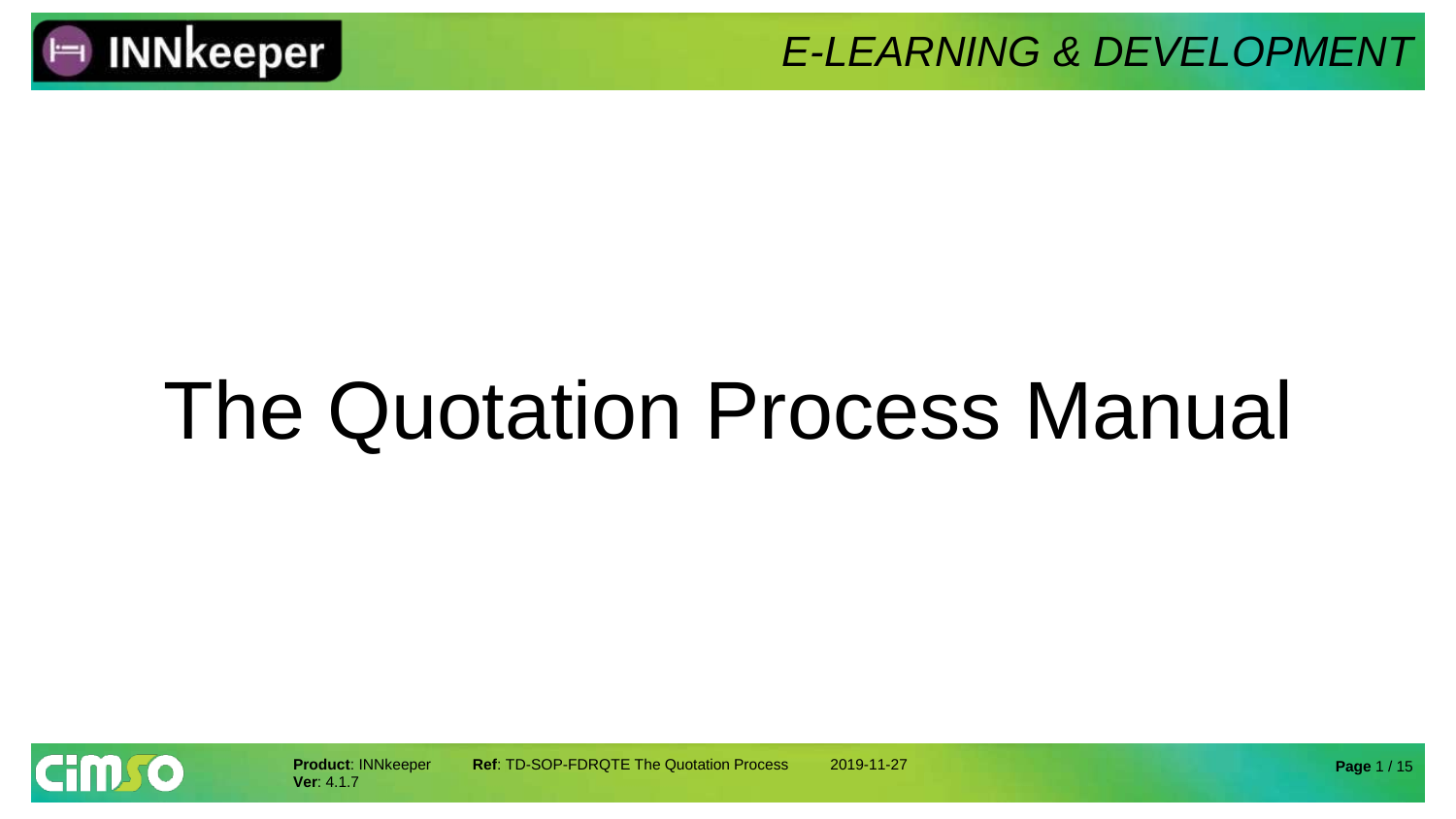

# The Quotation Process Manual

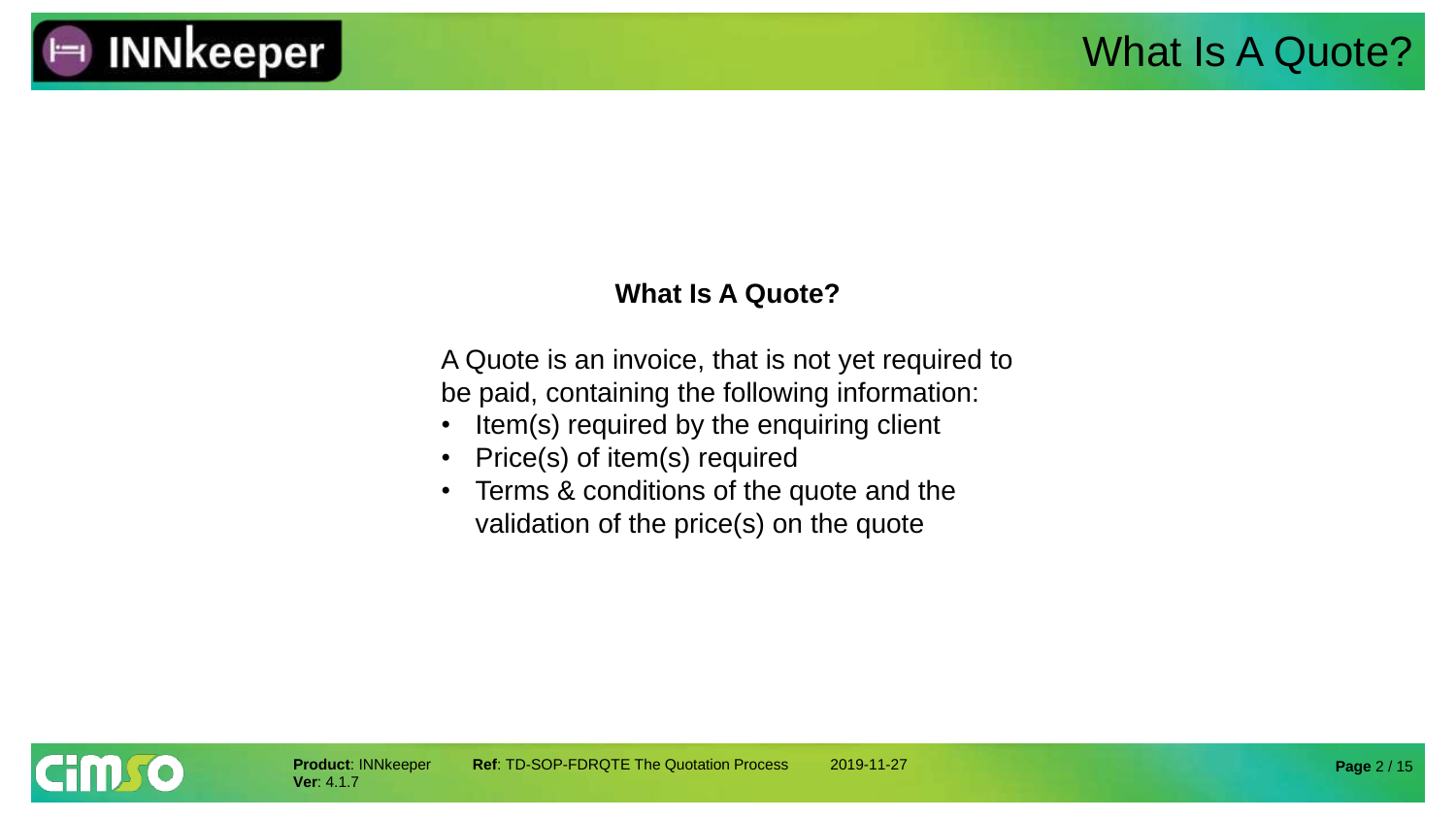

#### **What Is A Quote?**

A Quote is an invoice, that is not yet required to be paid, containing the following information:

- Item(s) required by the enquiring client
- Price(s) of item(s) required
- Terms & conditions of the quote and the validation of the price(s) on the quote

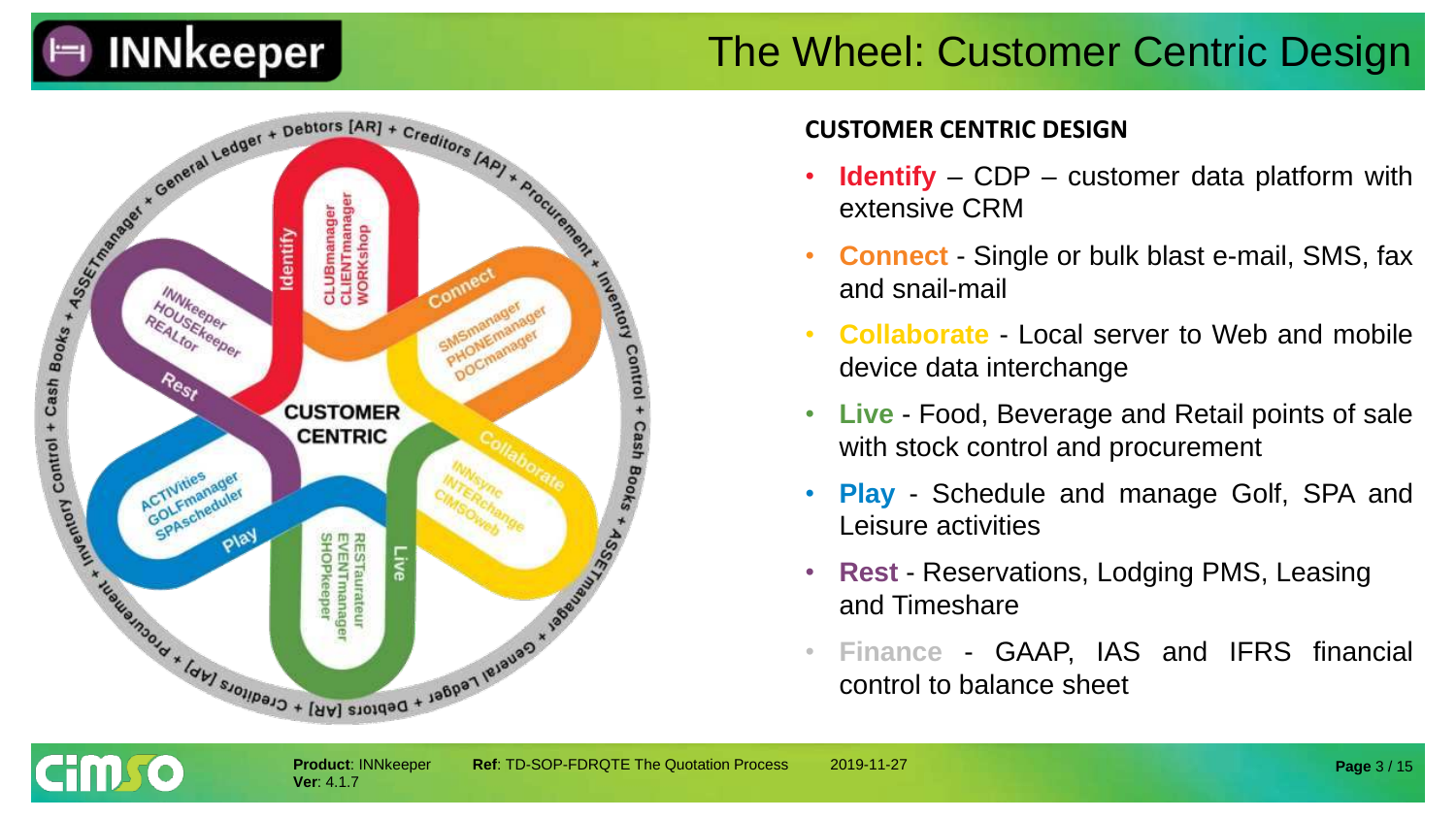

#### The Wheel: Customer Centric Design



**Ver**: 4.1.7

cim so

#### **CUSTOMER CENTRIC DESIGN**

- **Identify** CDP customer data platform with extensive CRM
- **Connect** Single or bulk blast e-mail, SMS, fax and snail-mail
- **Collaborate** Local server to Web and mobile device data interchange
- **Live** Food, Beverage and Retail points of sale with stock control and procurement
- **Play** Schedule and manage Golf, SPA and Leisure activities
- **Rest** Reservations, Lodging PMS, Leasing and Timeshare
- **Finance** GAAP, IAS and IFRS financial control to balance sheet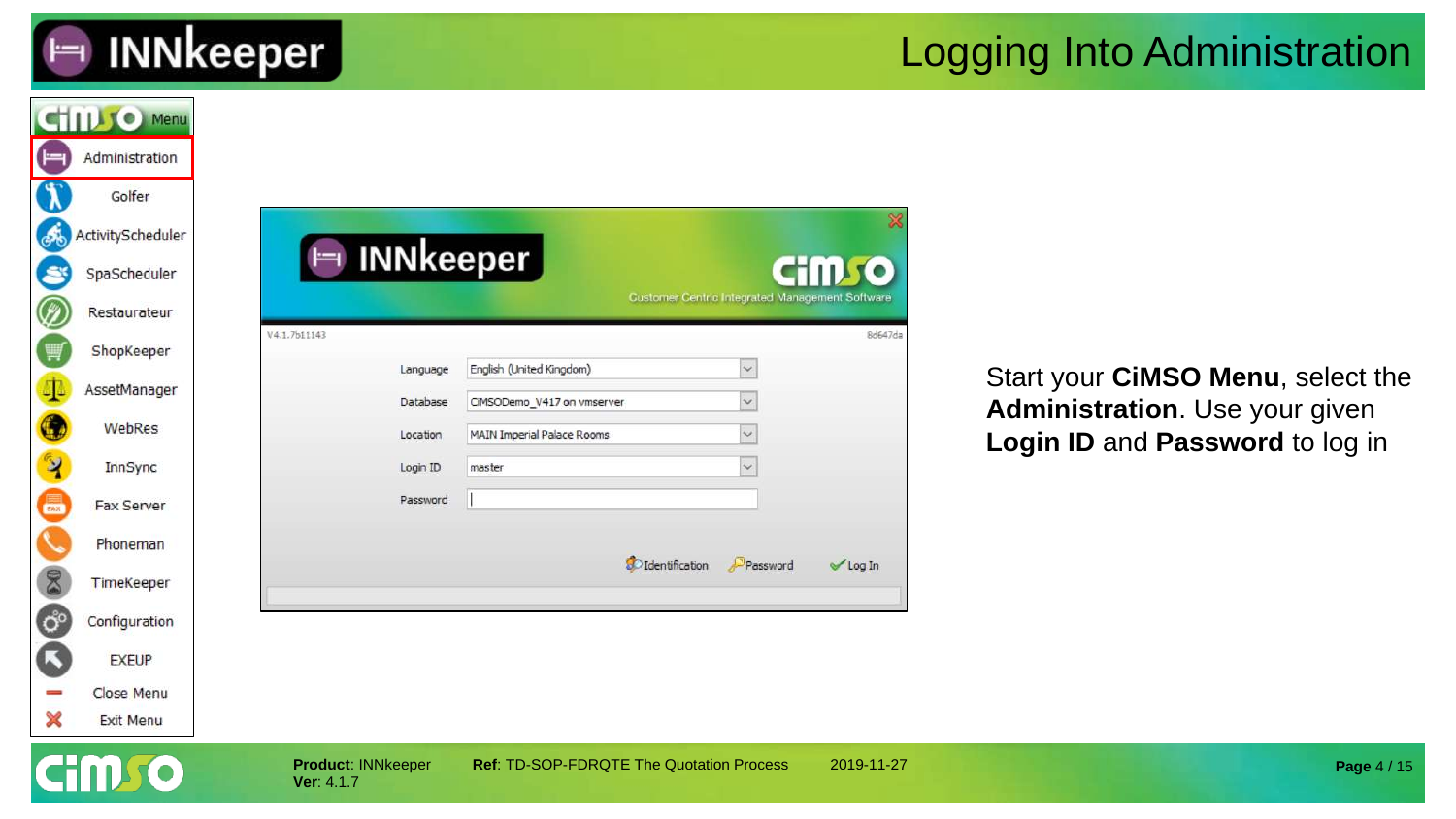

#### Logging Into Administration

| $\vdash$                    | <b>CHILLIO Menu</b><br>Administration<br>Golfer   |                                         |                                                                 |                                                        |              |                                                                   |
|-----------------------------|---------------------------------------------------|-----------------------------------------|-----------------------------------------------------------------|--------------------------------------------------------|--------------|-------------------------------------------------------------------|
| கூ<br>S                     | ActivityScheduler<br>SpaScheduler<br>Restaurateur | $\vdash$                                | <b>INNkeeper</b>                                                | <b>Customer Centric Integrated Management Software</b> | <b>Cimro</b> |                                                                   |
| Ø<br>冒                      | ShopKeeper                                        | V4.1.7b11143<br>Language                | English (United Kingdom)                                        | $\ddotmark$                                            | 8d647da      | Start your CiMSO Menu, select the                                 |
| 4<br>$\bullet$              | AssetManager<br>WebRes                            | Database<br>Location                    | CIMSODemo_V417 on vmserver<br><b>MAIN Imperial Palace Rooms</b> | $\checkmark$                                           |              | Administration. Use your given<br>Login ID and Password to log in |
| X                           | InnSync<br>Fax Server                             | Login ID<br>Password                    | master                                                          |                                                        |              |                                                                   |
| 8                           | Phoneman<br>TimeKeeper                            |                                         |                                                                 | <b>S</b> O Identification<br>Password                  | Log In       |                                                                   |
| $\ddot{\mathbf{O}}^{\circ}$ | Configuration                                     |                                         |                                                                 |                                                        |              |                                                                   |
| ß<br>×                      | <b>EXEUP</b><br>Close Menu<br>Exit Menu           |                                         |                                                                 |                                                        |              |                                                                   |
|                             |                                                   | <b>Product: INNkeeper</b><br>Ver: 4.1.7 | Ref: TD-SOP-FDRQTE The Quotation Process                        |                                                        | 2019-11-27   | Page 4 / 15                                                       |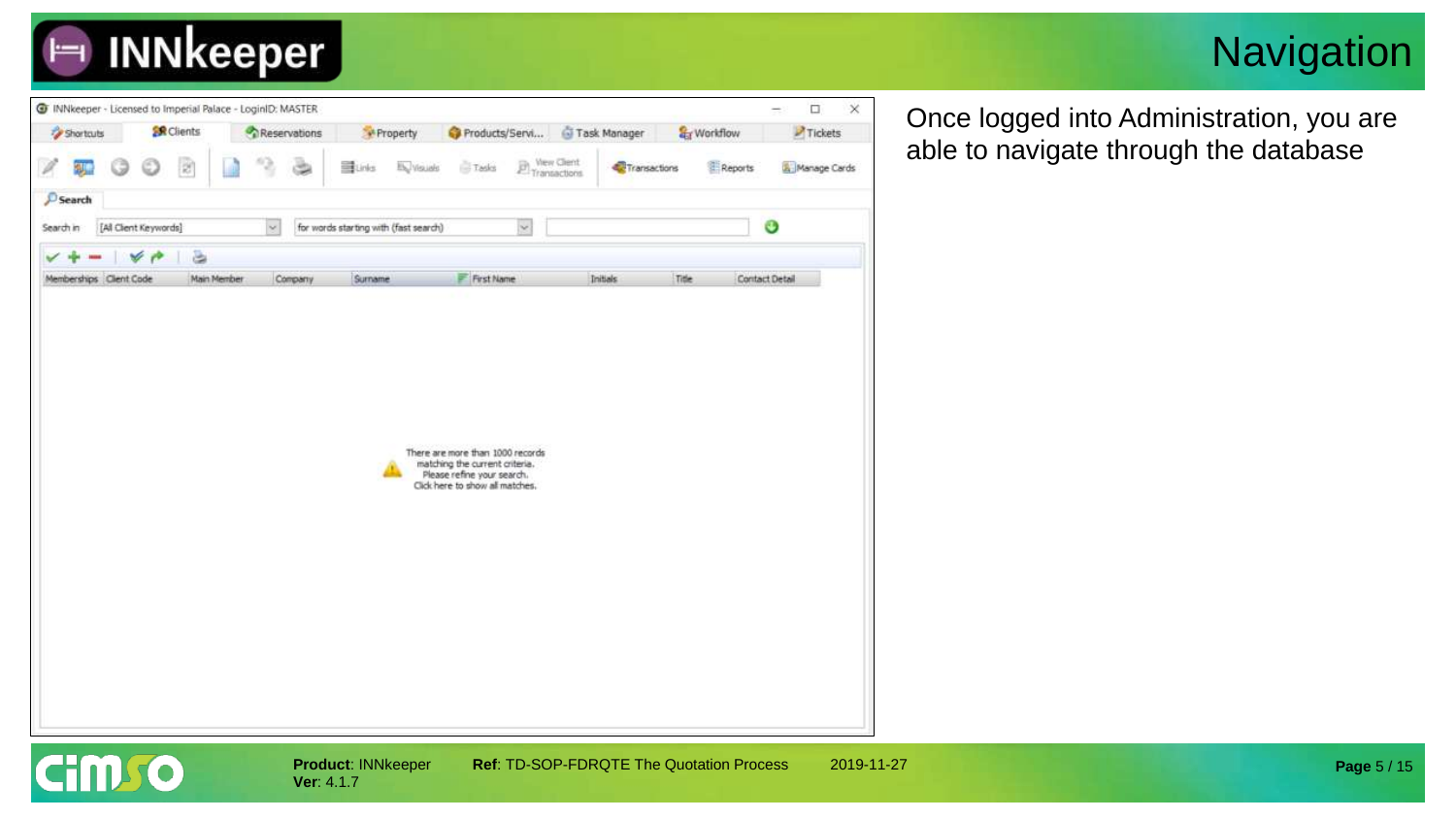

#### **Navigation**



Once logged into Administration, you are able to navigate through the database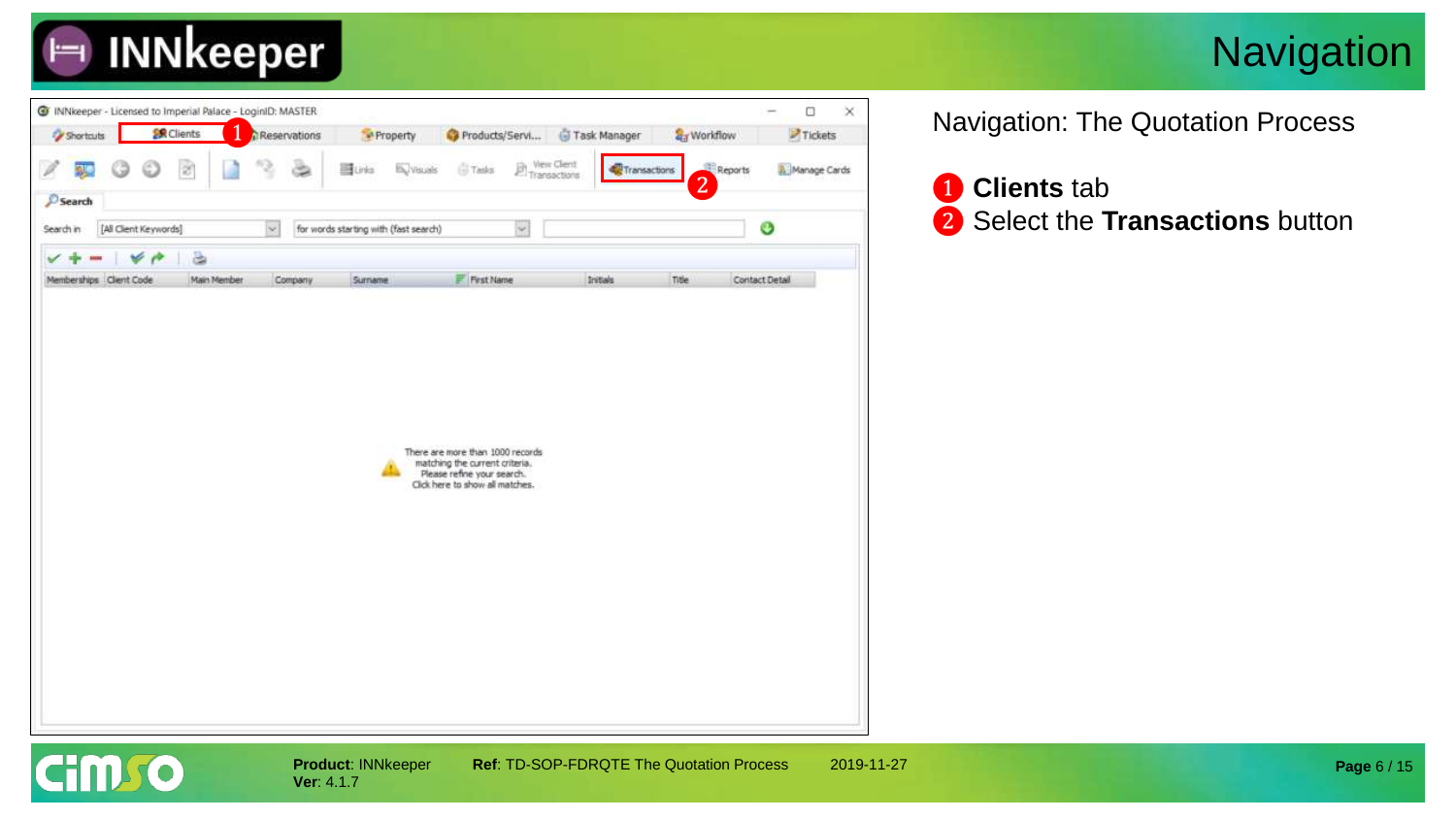

#### **Navigation**



**Ver**: 4.1.7

Navigation: The Quotation Process

❶ **Clients** tab ❷ Select the **Transactions** button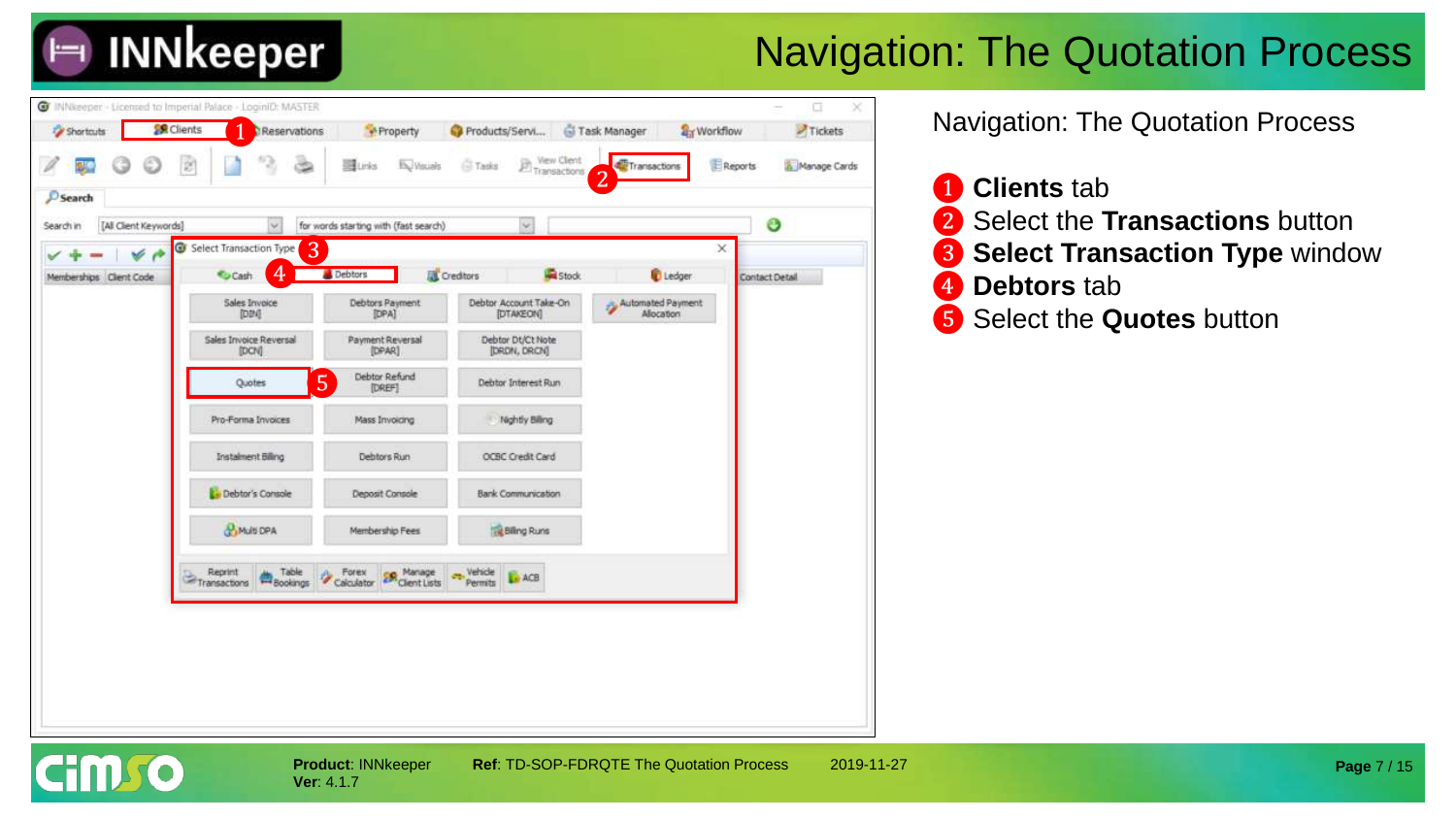

### Navigation: The Quotation Process



Navigation: The Quotation Process

 **Clients** tab Select the **Transactions** button Select Transaction Type window **Debtors** tab Select the **Quotes** button

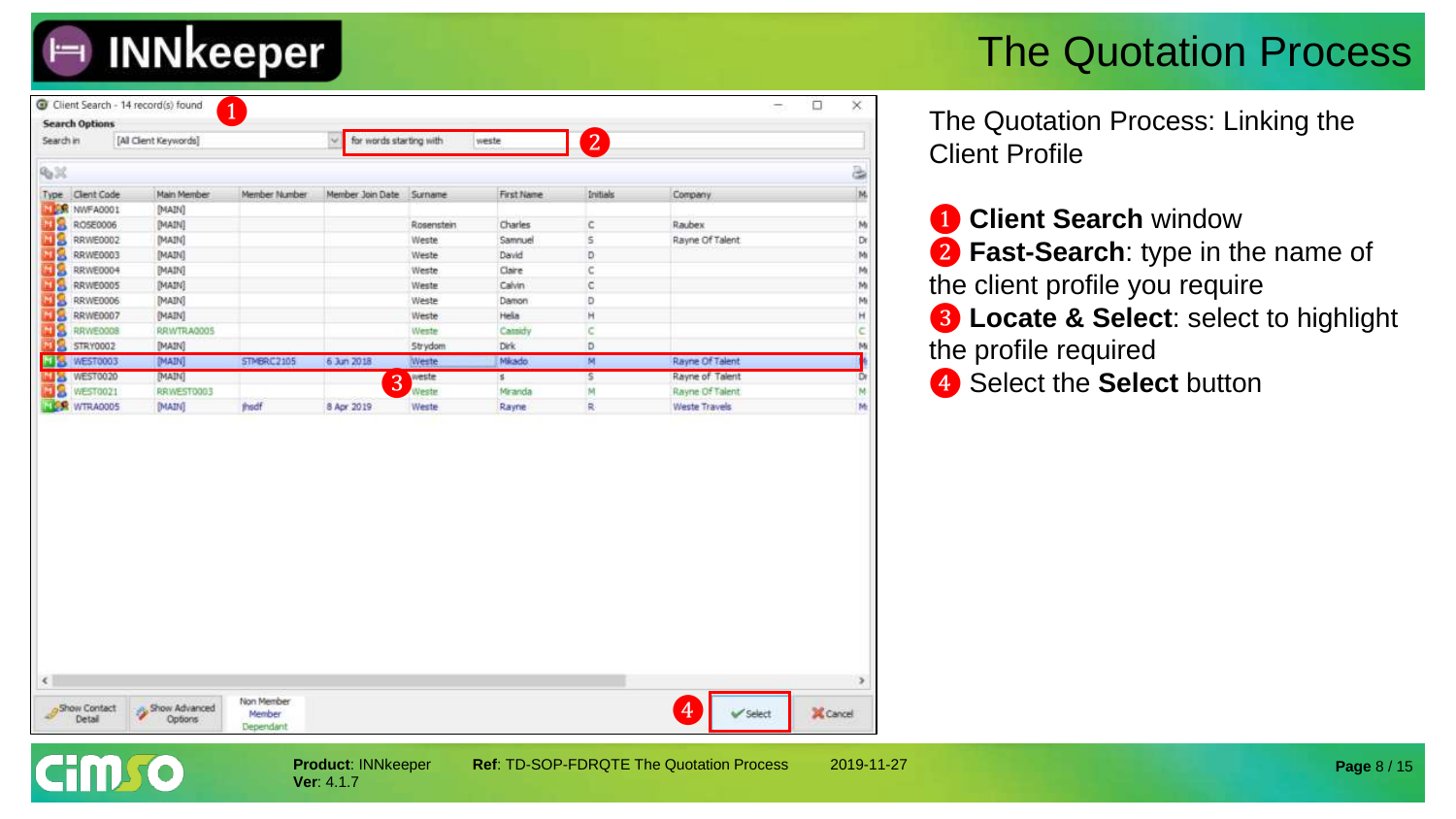## **INNkeeper**

### The Quotation Process

| Search in               | [All Client Keywords] |               | for words starting with<br>w. |            | weste         | $2^{7}$  |                 |     |
|-------------------------|-----------------------|---------------|-------------------------------|------------|---------------|----------|-----------------|-----|
| 90%                     |                       |               |                               |            |               |          |                 | a)  |
| Client Code<br>Type.    | Main Member           | Member Number | Member Join Date Surname      |            | First Name    | Initials | Company         | 74. |
| <b>NEW NWFA0001</b>     | [MAIN]                |               |                               |            |               |          |                 |     |
| RO5E0006<br>M S         | [MAIN]                |               |                               | Rosenstein | Charles       | c        | Raubex          | M   |
| MS<br>RRWE0002          | [MAIN]                |               |                               | Weste      | Samnuel       | s        | Rayne Of Talent | Dr  |
| шs<br>RRWE0003          | [MAIN]                |               |                               | Weste      | David         | D        |                 | M   |
| ыΩ<br>RRWE0004          | [MAIN]                |               |                               | Weste      | Claire        | c        |                 | M   |
| мр<br>RRWE0005          | [MAIN]                |               |                               | Weste      | Calvin        | C.       |                 | M   |
| MS<br>RRWE0006          | [MAIN]                |               |                               | Weste      | Damon         | D        |                 | M   |
| мЯ<br>RRWE0007          | [MAIN]                |               |                               | Weste      | Hela          | н        |                 | н   |
| нΩ<br>RRWE000B          | RRWTRA0005            |               |                               | Weste      | Cassidy       | c        |                 | c   |
| STRY0002                | [MAIN]                |               |                               | Strydom    | Dirk          | D        |                 | M   |
| WEST0003<br><b>NISK</b> | [MAIN]                | STMBRC2105    | 6 Jun 2018                    | Weste      | <b>Mikado</b> | M.       | Rayne Of Talent |     |
| WEST0020<br><b>MA</b>   | [MAIN]                |               | 3                             | weste      | s.            | s        | Rayne of Talent | D   |
| WEST0021                | RRWEST0003            |               |                               | Weste      | Miranda       | M        | Rayne Of Talent | M   |
| <b>TES WTRADOOS</b>     | (MAIN)                | thedf         | 8 Apr 2019                    | Weste      | Rayne         | 泉        | Weste Travels   | M   |
|                         |                       |               |                               |            |               |          |                 |     |
|                         |                       |               |                               |            |               |          |                 |     |

The Quotation Process: Linking the Client Profile

❶ **Client Search** window **2 Fast-Search**: type in the name of the client profile you require ❸ **Locate & Select**: select to highlight the profile required 4 Select the **Select** button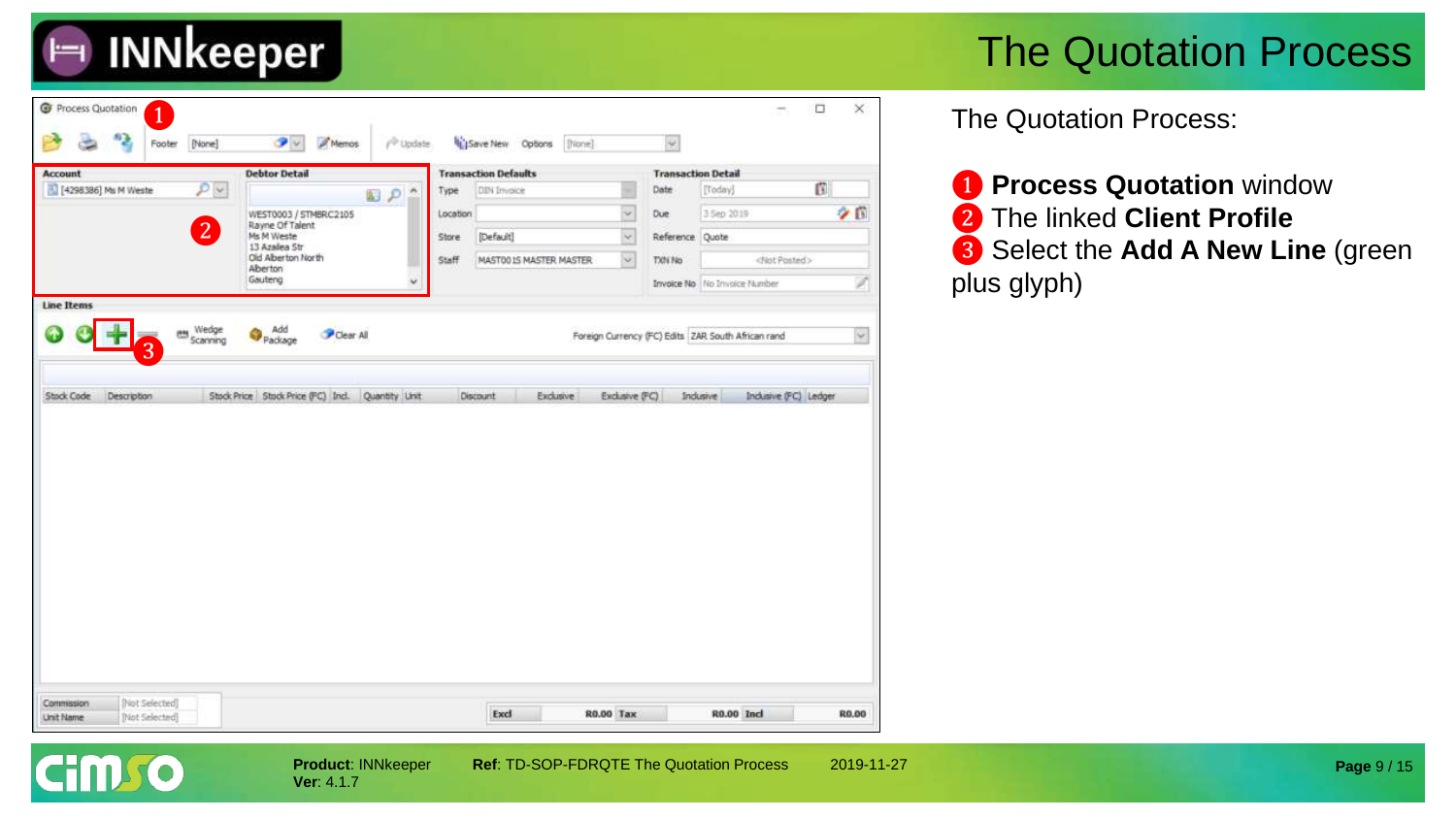

| <b>Account</b>                        | <b>Debtor Detail</b>                           | <b>Transaction Defaults</b>                  | <b>Transaction Detail</b> |                                                          |
|---------------------------------------|------------------------------------------------|----------------------------------------------|---------------------------|----------------------------------------------------------|
| $\mathcal{P}$<br>[4298386] Ms M Weste | $\mathbb{E}[\rho]^n$                           | DIN Invoice<br>Type                          | Date                      | ß<br>[Today]                                             |
|                                       | WEST0003 / STMBRC2105                          | $\omega$<br>Location                         | Due                       | クロ<br>3 5ep 2019                                         |
| $\boxed{2}$                           | Rayne Of Talent<br>Ms M Weste<br>13 Azalea Str | $\sim$<br>[Default]<br>Store                 | Reference Quote           |                                                          |
|                                       | Old Alberton North<br>Aberton                  | $\omega$<br>Staff<br>MASTOO IS MASTER MASTER | TXN No                    | <not posted=""></not>                                    |
|                                       | Gauteng                                        |                                              |                           | A<br>Invoice No. No Invoice Number                       |
| <b>Line Items</b>                     |                                                |                                              |                           |                                                          |
| the Wedge<br><b>Scanning</b>          | Add<br>Package<br>Clear All                    |                                              |                           | v.<br>Foreign Currency (FC) Edits ZAR South African rand |
| 3                                     |                                                |                                              |                           |                                                          |
|                                       |                                                |                                              |                           |                                                          |
|                                       |                                                |                                              |                           |                                                          |
|                                       |                                                |                                              |                           |                                                          |
|                                       |                                                |                                              |                           |                                                          |
|                                       |                                                |                                              |                           |                                                          |
|                                       |                                                |                                              |                           |                                                          |
|                                       |                                                |                                              |                           |                                                          |
|                                       |                                                |                                              |                           |                                                          |
|                                       |                                                |                                              |                           |                                                          |

**Ver**: 4.1.7

**Cimro** 

**Product**: INNkeeper **Ref**: TD-SOP-FDRQTE The Quotation Process 2019-11-27

The Quotation Process:

 **Process Quotation** window The linked **Client Profile** Select the **Add A New Line** (green plus glyph)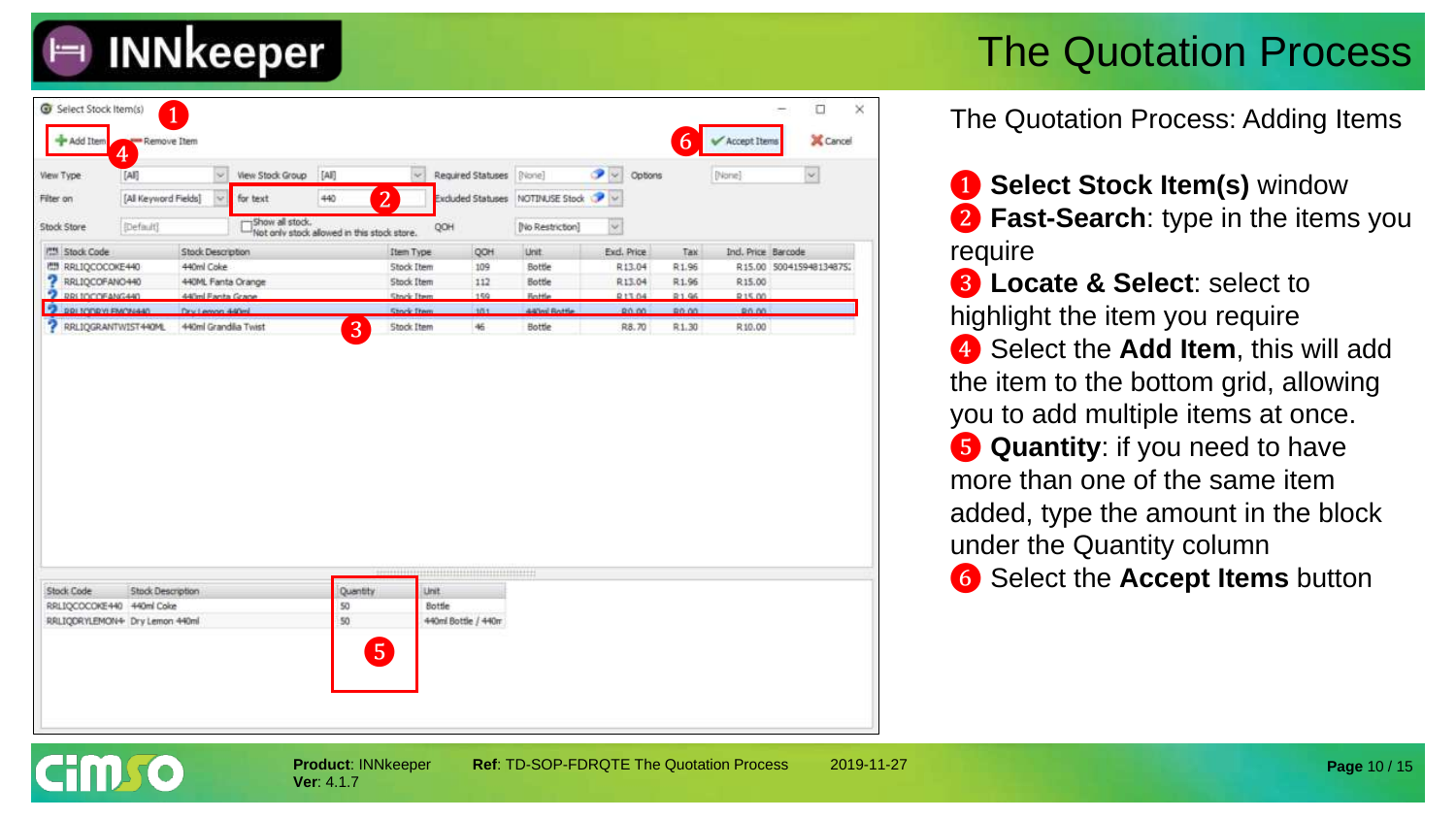

| View Type                                                   | ♦<br>[AI]            | ×                    | View Stock Group | [AH]                                        | $\mathcal{C}$     | Required Statuses             | [Blone]          | ூ<br>$\sim$  | Options       |        | [[None]            | $\omega$                |
|-------------------------------------------------------------|----------------------|----------------------|------------------|---------------------------------------------|-------------------|-------------------------------|------------------|--------------|---------------|--------|--------------------|-------------------------|
| Filter on                                                   | [All Keyword Fields] | v                    | for text         | 440                                         | $\overline{2}$    | Excluded Statuses             | NOTINUSE Stock   | $\sim$       |               |        |                    |                         |
| Stock Store                                                 | (Default)            |                      | Show all stock.  | Not only stock allowed in this stock store. |                   | QOH                           | [No Restriction] | $\checkmark$ |               |        |                    |                         |
| <b>PM Stock Code</b>                                        |                      | Stock Description    |                  |                                             | <b>Item Type</b>  | QOH                           | Unit.            |              | Exd. Price    | Tax    | Ind. Price Barcode |                         |
| <b>MI RRLIQCOCOKE440</b>                                    |                      | 440ml Coke           |                  |                                             | <b>Stock Item</b> | 109                           | Bottle           |              | R13.04        | R1.96  |                    | R15.00 500415948134875; |
| RRLIQCOFANO440                                              |                      | 440ML Fanta Orange   |                  |                                             | Stock Item        | 112                           | Bottle           |              | R13.04        | R1.96  | R15.00             |                         |
| <b>2 DRITCOFANG440</b>                                      |                      | 440ml Fanta Crane    |                  |                                             | Shock Item        | 159                           | Rottle           |              | <b>R13.04</b> | 91.95  | 215.00             |                         |
| 2 RRI TODRYLEMON440                                         |                      | Dry Lemon 440ml      |                  |                                             | Stock Dwn         | 101                           | 440ml Rottle     |              | 80.00         | 80.00  | 80.00              |                         |
| 7<br>RRLIQGRANTWIST440ML                                    |                      | 440ml Grandila Twist |                  | 3                                           | Stock Item        | 46                            | Bottle           |              | R8.70         | R.1.30 | R.10.00            |                         |
|                                                             |                      |                      |                  |                                             |                   |                               |                  |              |               |        |                    |                         |
|                                                             |                      |                      |                  |                                             |                   |                               |                  |              |               |        |                    |                         |
|                                                             |                      |                      |                  |                                             |                   |                               |                  |              |               |        |                    |                         |
|                                                             | Stock Description    |                      |                  | Quantity                                    |                   | Unit.                         |                  |              |               |        |                    |                         |
| RRLIQCOCOKE440 440ml Coke<br>RRLIQDRYLEMON+ Dry Lemon 440ml |                      |                      |                  | 50<br>50                                    |                   | Bottle<br>440ml Bottle / 440m |                  |              |               |        |                    |                         |
| Stock Code                                                  |                      |                      |                  |                                             |                   |                               |                  |              |               |        |                    |                         |

The Quotation Process: Adding Items

❶ **Select Stock Item(s)** window ❷ **Fast-Search**: type in the items you require

❸ **Locate & Select**: select to highlight the item you require ❹ Select the **Add Item**, this will add the item to the bottom grid, allowing you to add multiple items at once. ❺ **Quantity**: if you need to have more than one of the same item added, type the amount in the block under the Quantity column

❻ Select the **Accept Items** button

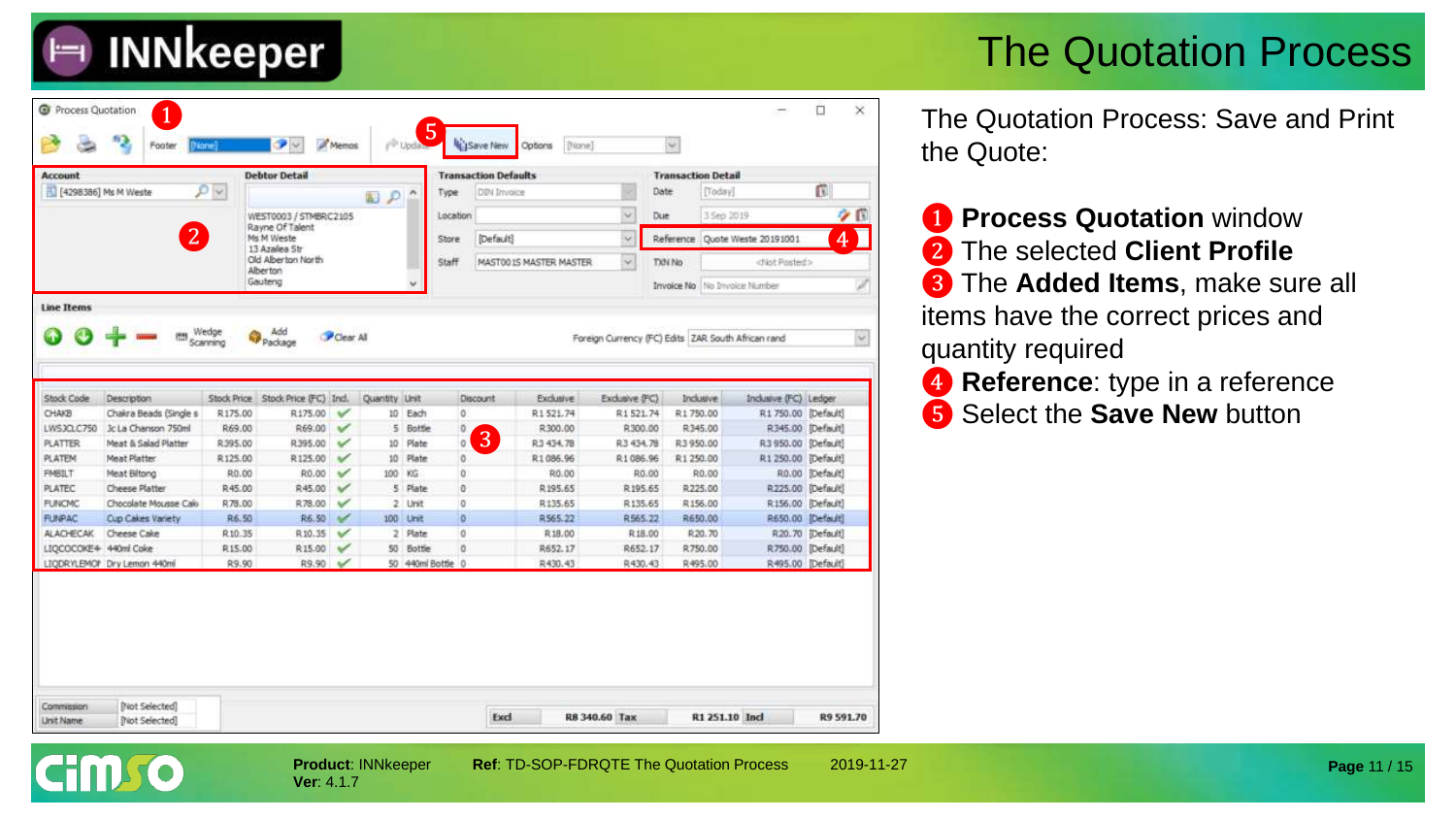| <b>Account</b>                                                                                                                                                                 |                                         |                   | <b>Debtor Detail</b>                |                   |               |                   | <b>Transaction Defaults</b> |                    |                    | <b>Transaction Detail</b> |                                                              |                                        |                   |          |
|--------------------------------------------------------------------------------------------------------------------------------------------------------------------------------|-----------------------------------------|-------------------|-------------------------------------|-------------------|---------------|-------------------|-----------------------------|--------------------|--------------------|---------------------------|--------------------------------------------------------------|----------------------------------------|-------------------|----------|
| [1] [4298386] Ms M Weste                                                                                                                                                       |                                         | $\mathcal{O}$     |                                     |                   | 副のへ           | Type              | DBV Imvoice                 |                    |                    | Date                      | ũ<br>[Today]                                                 |                                        |                   |          |
|                                                                                                                                                                                |                                         |                   | WEST0003 / STMBRC2105               |                   |               |                   | Location                    |                    |                    | Due                       | ۰<br>3 Sep 2019                                              |                                        |                   | $\alpha$ |
|                                                                                                                                                                                | 2                                       |                   | Rayne Of Talent<br>Ms M Weste       |                   |               | Store             | [Default]                   | $\omega$           |                    |                           | 4<br>Reference Quote Weste 20191001<br><not posted=""></not> |                                        |                   |          |
|                                                                                                                                                                                |                                         |                   | 13 Azalea 5tr<br>Old Alberton North |                   |               | Staff             | MASTO0 IS MASTER MASTER     | ×                  | TXN No             |                           |                                                              |                                        |                   |          |
|                                                                                                                                                                                |                                         |                   | Alberton<br>Gauteng                 |                   |               |                   |                             |                    |                    | Invoice No                | No Invoice Number                                            |                                        |                   | H        |
|                                                                                                                                                                                |                                         |                   |                                     |                   |               |                   |                             |                    |                    |                           |                                                              |                                        |                   |          |
|                                                                                                                                                                                |                                         |                   |                                     |                   |               |                   |                             |                    |                    |                           |                                                              |                                        |                   |          |
| Stock Code                                                                                                                                                                     | Description                             |                   | Stock Price Stock Price (FC) Incl.  |                   | Quantity Unit |                   | Discount                    | Exclusive          | Exclusive (FC)     |                           | <b>Indusive</b>                                              | Industve (FC) Ledger                   |                   |          |
|                                                                                                                                                                                | Chaira Beads (Single s                  | R175.00           | R175.00                             | v                 |               | 10 Each           | 0                           | R1521.74           | R1521.74           | R1750.00                  |                                                              | R1 750.00 [Default]                    |                   |          |
|                                                                                                                                                                                |                                         |                   |                                     | v                 |               | 5 Bottle          | ū.                          | R300.00            | R300.00            |                           | R345.00                                                      |                                        | R345.00 [Default] |          |
|                                                                                                                                                                                | Jc La Chanson 750ml                     | R69.00            | R69.00                              |                   |               |                   |                             |                    |                    |                           |                                                              |                                        |                   |          |
|                                                                                                                                                                                | Meat & Salad Platter                    | R395.00           | R395.00                             | $\checkmark$      | 10            | Plate             | 3<br>0                      | R3 434.78          | R3 434.78          | R3 950.00                 |                                                              | R3 950.00 [Default]                    |                   |          |
|                                                                                                                                                                                | Meat Platter                            | R125.00           | R125.00                             | v                 | 10            | Plate             | 0                           | R1086.96           | R1086.96           | R1 250.00                 |                                                              | R1 250.00 [Default]                    |                   |          |
|                                                                                                                                                                                | Meat Biltong                            | R0.00             | R0.00                               | ✓                 | 100           | KG                | 0                           | R0.00              | R0.00              |                           | R0.00                                                        |                                        | R0.00 [Default]   |          |
|                                                                                                                                                                                | Cheese Platter<br>Chocolate Mousse Calo | R45.00<br>R.78.00 | R45.00<br>R78.00                    | ✓                 |               | 5 Plate<br>2 Unit | ō<br>o                      | R195.65<br>R135.65 | R195.65<br>R135.65 |                           | R225.00<br>R156.00                                           | R225.00 [Default]                      |                   |          |
|                                                                                                                                                                                | Cup Cakes Variety                       | R6.50             | R6.50                               | $\mathbf{v}$<br>✓ |               | 100 Unit          | $\alpha$                    | R565.22            | R565.22            |                           | R650.00                                                      | R156.00 [Default]<br>R650.00 [Default] |                   |          |
|                                                                                                                                                                                | Cheese Cake                             | R10.35            | R10.35                              | $\checkmark$      |               | 2 Plate           | $\alpha$                    | R18.00             | R18.00             |                           | R.20.70                                                      |                                        | R20.70 [Default]  |          |
| <b>CHAKB</b><br>LWSJQLC750<br><b>PLATTER</b><br><b>PLATEM</b><br><b>FMBILT</b><br><b>PLATEC</b><br><b>FUNCMC</b><br><b>FUNPAC</b><br><b>ALACHECAK</b><br>LIQCOCOKE4 440ml Coke |                                         | R15.00            | R15.00                              | $\checkmark$      |               | 50 Bottle         | ō                           | R652.17            | R652.17            |                           | R750.00                                                      | R750.00 [Default]                      |                   |          |

The Quotation Process: Save and Print the Quote:

- ❶ **Process Quotation** window ❷ The selected **Client Profile** ❸ The **Added Items**, make sure all items have the correct prices and quantity required
- **4** Reference: type in a reference ❺ Select the **Save New** button

**Page** 11 / 15

**Ver**: 4.1.7

**INNkeeper**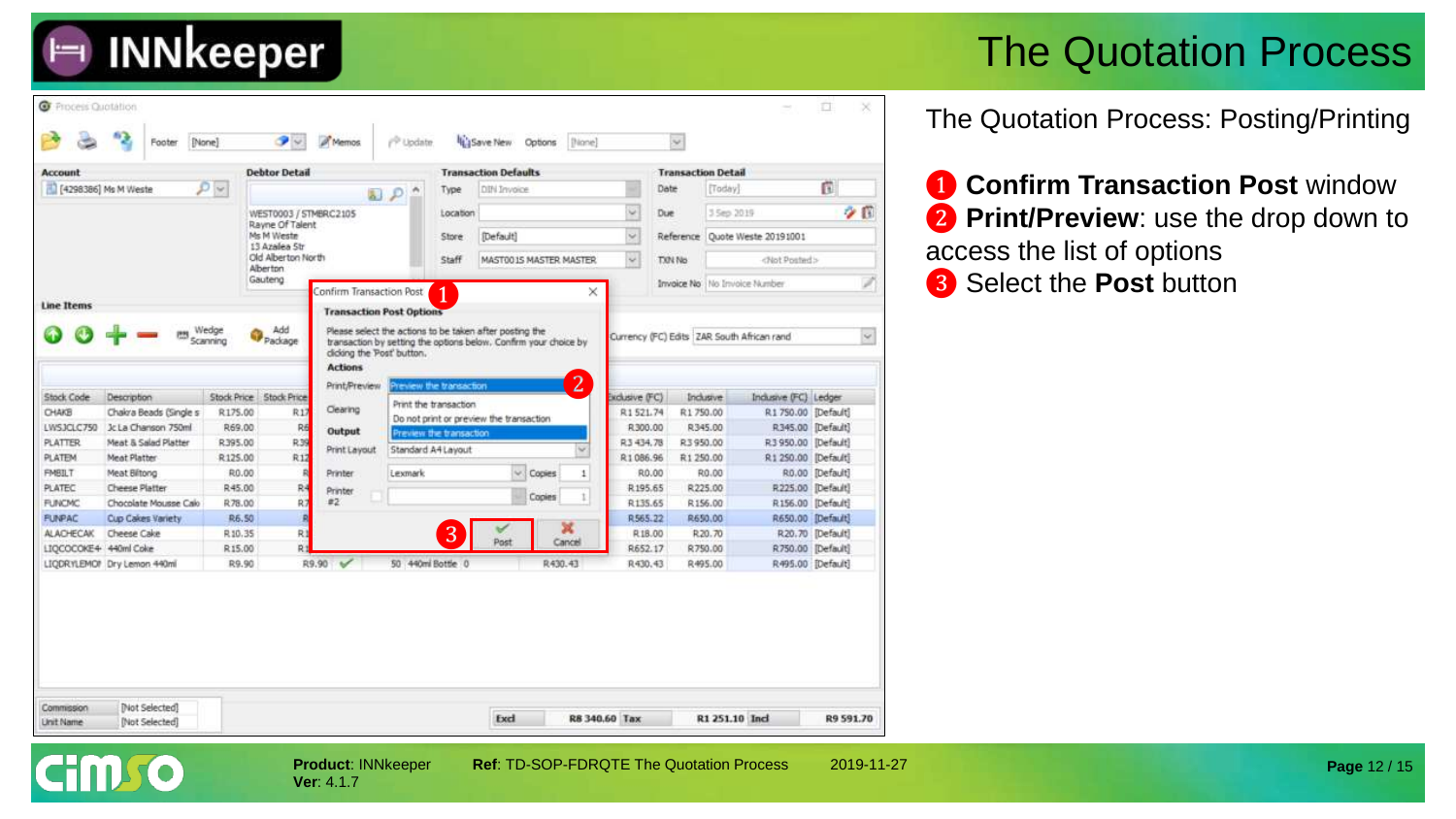

The Quotation Process: Posting/Printing

**1 Confirm Transaction Post window 2** Print/Preview: use the drop down to access the list of options

**Page** 12 / 15





**INNkeeper** 

**Product**: INNkeeper **Ref**: TD-SOP-FDRQTE The Quotation Process 2019-11-27 **Ver**: 4.1.7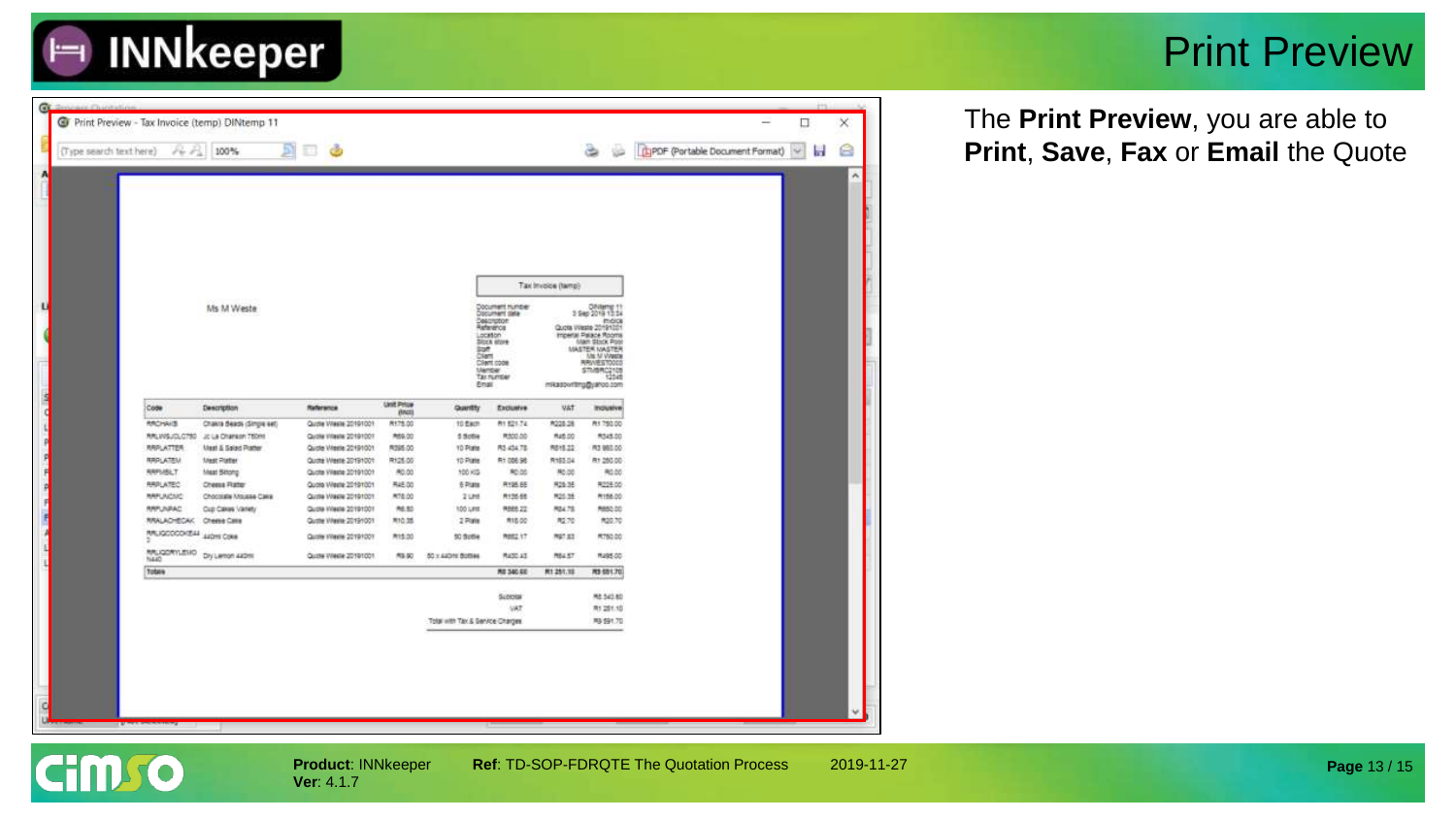

#### Print Preview

| (Type search text here) | $8 - 56$                                     | 100%                          | ි ල                                            |                        |                                  |                                                                                                                                                                                     |                       | 100                                                                                                                                                                                                                                               | <b>E</b> IPDF (Portable Document Format) |  |
|-------------------------|----------------------------------------------|-------------------------------|------------------------------------------------|------------------------|----------------------------------|-------------------------------------------------------------------------------------------------------------------------------------------------------------------------------------|-----------------------|---------------------------------------------------------------------------------------------------------------------------------------------------------------------------------------------------------------------------------------------------|------------------------------------------|--|
|                         |                                              |                               |                                                |                        |                                  |                                                                                                                                                                                     |                       |                                                                                                                                                                                                                                                   |                                          |  |
|                         |                                              |                               |                                                |                        |                                  |                                                                                                                                                                                     | Tax Invoice (tamp)    |                                                                                                                                                                                                                                                   |                                          |  |
|                         |                                              | Ms M Weste                    |                                                |                        |                                  | Document number<br>Document cide<br>Deachpton:<br>Reference<br>Location<br><b>DOCK BOYE</b><br><b>Staff</b><br>Client<br>Client code<br><b>Ulerser</b><br><b>Tax number</b><br>Ensi |                       | <b>Ohilams</b> 1<br>3 Sep 2019 13:34<br><b>INGICE</b><br>Quota VVeste 20191001<br>Imperial Palace Rooms<br>Main Stock Pool<br>MASTER MASTER<br><b><i>MILM Vireste</i></b><br><b>RRIVESTOOGS</b><br>STMBR02108<br>12348<br>mikasportting@yahoo.com |                                          |  |
|                         | Code                                         | Description                   | Reference                                      | Unit Price<br>(MGD)    | Quantity                         | Exclusive                                                                                                                                                                           | <b>VAT</b>            | mouthw                                                                                                                                                                                                                                            |                                          |  |
|                         | <b>RROHAID</b>                               | Chakra Beads (Single eet)     | Quote Waste 20191001                           | PH75.00                | 10 Each                          | 81.921.74                                                                                                                                                                           | R228.28               | PH 750.00                                                                                                                                                                                                                                         |                                          |  |
|                         | RRLWSJOL0790                                 | JC La Chanson 750ml           | Quote Vilesia 20191001                         | M69.00                 | $1.5$ ctie                       | PERSONAIO                                                                                                                                                                           | R45.00                | R345.00                                                                                                                                                                                                                                           |                                          |  |
|                         | RRPLATTER                                    | <b>Main &amp; Salad Rader</b> | Quote Weeke 20191001                           | R395.00                | 10 Pate                          | R3-434.78                                                                                                                                                                           | 開格器                   | PL3 960.00                                                                                                                                                                                                                                        |                                          |  |
|                         | <b>RRPLATEU</b>                              | <b>Mest Ratter</b>            | Quote Weste 20191001                           | R125.00                | 10 Plate                         | R100636                                                                                                                                                                             | R183.04               | R1 250.00                                                                                                                                                                                                                                         |                                          |  |
|                         | <b>RRPI/SLT.</b>                             | Meat Bitong                   | Quote Villante 20191001                        | R0.00                  | 100 KG                           | R0.00                                                                                                                                                                               | AD.00                 | R0.00                                                                                                                                                                                                                                             |                                          |  |
|                         | <b>RRPLATEC</b>                              | <b>Chessa Rater</b>           | Quote Weste 20191001                           | A46.00                 | 6 Pate                           | R195.6E                                                                                                                                                                             | R29.3E                | R225.00                                                                                                                                                                                                                                           |                                          |  |
|                         | <b>RAFUMOMO</b>                              | Chocoosie Mousee Cake         | Quote Waste 20191001                           | M78.00                 | 2188                             | R135.68                                                                                                                                                                             | P25.38                | A158.00                                                                                                                                                                                                                                           |                                          |  |
|                         | <b>RRPUNPAC</b><br><b><i>RRALADYECAK</i></b> | Cup Cakes Variety             | Quote Week 20191001                            | PA 50<br><b>R10.35</b> | 100 LES<br>2709                  | R088.22<br><b>R18.00</b>                                                                                                                                                            | <b>RMA78</b><br>R2.70 | R852-00<br>R20.70                                                                                                                                                                                                                                 |                                          |  |
|                         | RRUGOODODEAL AIGHT CORR                      | Cheme Calle                   | Quate Weeke 20191001                           | <b>R15.00</b>          |                                  | 网络红灯                                                                                                                                                                                | PG7.83                | <b>RT50.00</b>                                                                                                                                                                                                                                    |                                          |  |
|                         | RRUGORYLENO                                  | Dry Lamon 440ml               | Quote Hiesie 2019/1001<br>Quote Weste 20191001 | <b>RIS DO</b>          | 50 ScOle<br>50 x 640ml Bottes    | <b>RATO AT</b>                                                                                                                                                                      | <b>MAST</b>           | Mu95.00                                                                                                                                                                                                                                           |                                          |  |
|                         | NAKO<br>Totals                               |                               |                                                |                        |                                  | <b>MS 340 RE</b>                                                                                                                                                                    | <b>N1251.18</b>       | <b>MS 681.703</b>                                                                                                                                                                                                                                 |                                          |  |
|                         |                                              |                               |                                                |                        |                                  |                                                                                                                                                                                     |                       |                                                                                                                                                                                                                                                   |                                          |  |
|                         |                                              |                               |                                                |                        |                                  | SUMMI                                                                                                                                                                               |                       | M& 540.80                                                                                                                                                                                                                                         |                                          |  |
|                         |                                              |                               |                                                |                        |                                  | VAT.                                                                                                                                                                                |                       | R1 251.10                                                                                                                                                                                                                                         |                                          |  |
|                         |                                              |                               |                                                |                        | Tolai with Tay & Service Charges |                                                                                                                                                                                     |                       | PG 591.70                                                                                                                                                                                                                                         |                                          |  |

The **Print Preview**, you are able to **Print**, **Save**, **Fax** or **Email** the Quote



**Ver**: 4.1.7

 $\times$ ė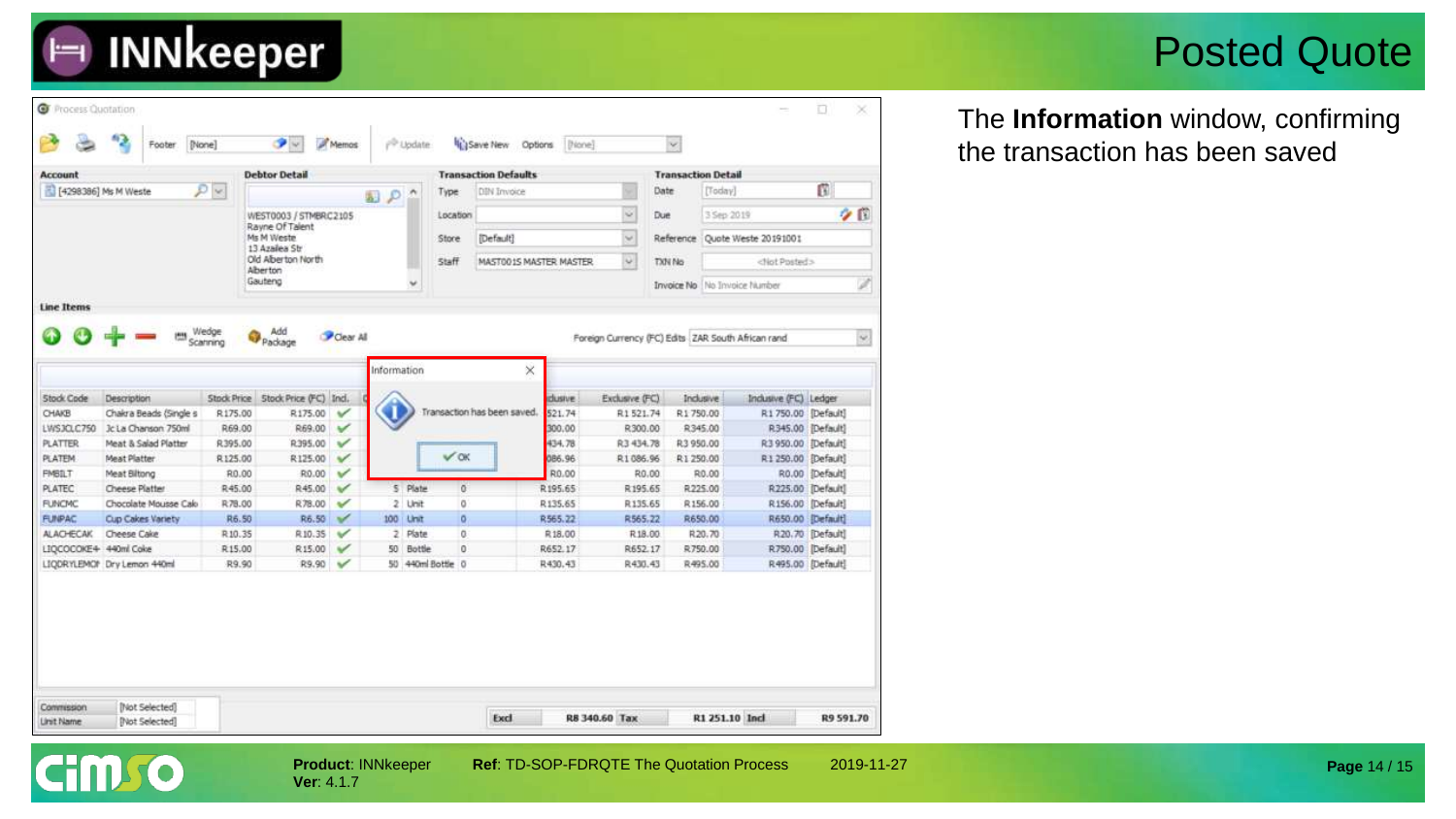#### Posted Quote

The **Information** window, confirming the transaction has been saved

| <b>Account</b>        |                             |               | <b>Debtor Detail</b>               |              |             |                                |              | <b>Transaction Defaults</b> |           |                                                    | <b>Transaction Detail</b>    |                     |                       |                   |      |
|-----------------------|-----------------------------|---------------|------------------------------------|--------------|-------------|--------------------------------|--------------|-----------------------------|-----------|----------------------------------------------------|------------------------------|---------------------|-----------------------|-------------------|------|
| [4298386] Ms M Weste  |                             | $D$ $\approx$ |                                    |              | Q           |                                | Type         | DIN Invoice                 |           | Date                                               | [Today]                      |                     | ß                     |                   |      |
|                       |                             |               | WEST0003 / STMBRC2105              |              |             |                                | Location     |                             |           | ŵ.                                                 | Due                          | 3 Sep 2019          |                       |                   | 夕日   |
|                       |                             |               | Rayne Of Talent<br>Ms M Weste      |              |             | Default1<br>Store              |              | $\omega$                    | Reference | Ougle Weste 20191001                               |                              |                     |                       |                   |      |
|                       |                             |               | 13 Azailea Str                     |              |             |                                |              |                             |           |                                                    |                              |                     |                       |                   |      |
|                       |                             |               | Old Alberton North<br>Alberton     |              |             |                                | <b>Staff</b> | MAST001S MASTER MASTER      |           | $\ddot{\mathbf{v}}$                                | TXN No                       |                     | <not posted=""></not> |                   |      |
|                       |                             |               | Gauteng                            |              |             |                                |              |                             |           |                                                    | Invoice No No Invoice Number |                     |                       |                   | 2    |
| <b>Line Items</b>     |                             |               |                                    |              |             |                                |              |                             |           |                                                    |                              |                     |                       |                   |      |
|                       |                             | Wedge         | Add                                |              |             |                                |              |                             |           |                                                    |                              |                     |                       |                   |      |
|                       |                             | Scanning      | Package                            | Clear All    |             |                                |              |                             |           | Foreign Currency (FC) Edits ZAR South African rand |                              |                     |                       |                   | ise. |
|                       |                             |               |                                    |              | Information |                                |              | ×                           |           |                                                    |                              |                     |                       |                   |      |
|                       |                             |               |                                    |              |             |                                |              |                             |           |                                                    |                              |                     |                       |                   |      |
| <b>Stock Code</b>     | Description                 |               | Stock Price Stock Price (FC) Incl. |              |             |                                |              |                             | dusive    | Exclusive (FC)                                     |                              | Indusive            | Indusive (FC) Ledger  |                   |      |
| CHAKB                 | Chakra Beads (Single s      | R175.00       | R175.00                            | v            |             |                                |              | Transaction has been saved. | 521.74    | R1521.74                                           | R1750.00                     |                     | R1 750.00 [Default]   |                   |      |
| LWSJCLC750            | Jc La Chanson 750ml         | R69.00        | R69.00                             | $\checkmark$ |             |                                |              |                             | 300.00    | R300.00                                            |                              | R345.00             | R345.00 [Default]     |                   |      |
| <b>PLATTER</b>        | Meat & Salad Platter        | R395.00       | R395.00                            | $\checkmark$ |             |                                |              |                             | 434.78    | R3 434.78                                          | R3 950.00                    | R3 950.00 [Default] |                       |                   |      |
| <b>PLATEM</b>         | Meat Platter                | R125.00       | R125.00                            | V            |             |                                | $V$ OK       |                             | 086.96    | R1 086.96                                          | R1 250.00                    |                     | R1 250.00 [Default]   |                   |      |
| <b>FMBILT</b>         | Meat Biltong                | R0.00         | R0.00                              | $\checkmark$ |             |                                |              |                             | R0.00     | R0.00                                              |                              | R0.00               |                       | R0.00 [Default]   |      |
| <b>PLATEC</b>         | Cheese Platter              | R45.00        | R45.00                             | V            |             | 5 Plate                        | $\sigma$     |                             | R195.65   | R195.65                                            |                              | R225.00             | R225.00 [Default]     |                   |      |
| <b>FUNCMC</b>         | Chocolate Mousse Calo       | R78.00        | R78.00                             | $\checkmark$ |             | 2 Unit                         | o            |                             | R135.65   | R135.65                                            |                              | R156.00             | R156.00 [Default]     |                   |      |
| <b>FUNPAC</b>         | Cup Cakes Variety           | R6.50         | R6.50                              | $\checkmark$ |             | 100 Unit                       | o.           |                             | R565.22   | R565.22                                            |                              | R650.00             | R650.00 [Default]     |                   |      |
|                       | Cheese Cake                 | R10.35        | R10.35                             | ✓            |             | 2 Plate                        | $\circ$      |                             | R18.00    | R18.00                                             |                              | R20.70              |                       | R20.70 [Default]  |      |
| ALACHECAK             |                             | R15.00        | R15.00                             | ✓            |             | 50 Bottle<br>50 440ml Bottle 0 | $\circ$      |                             | R652.17   | R652.17                                            |                              | R750.00<br>R495.00  | R495.00 [Default]     | R750.00 [Default] |      |
| LIQCOCOKE4 440ml Coke | LIQDRYLEMOP Dry Lemon 440ml | R9.90         | R9.90                              | $\checkmark$ |             |                                |              |                             | R430.43   | R430.43                                            |                              |                     |                       |                   |      |

**E INNkeeper** 

**Ver**: 4.1.7

**Product: INNkeeper Ref: TD-SOP-FDRQTE The Quotation Process 2019-11-27**